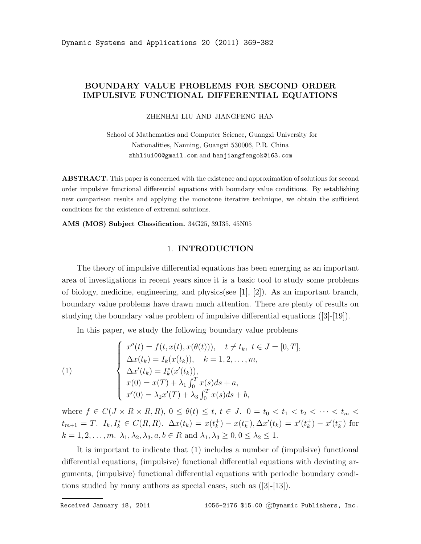# BOUNDARY VALUE PROBLEMS FOR SECOND ORDER IMPULSIVE FUNCTIONAL DIFFERENTIAL EQUATIONS

ZHENHAI LIU AND JIANGFENG HAN

School of Mathematics and Computer Science, Guangxi University for Nationalities, Nanning, Guangxi 530006, P.R. China zhhliu100@gmail.com and hanjiangfengok@163.com

**ABSTRACT.** This paper is concerned with the existence and approximation of solutions for second order impulsive functional differential equations with boundary value conditions. By establishing new comparison results and applying the monotone iterative technique, we obtain the sufficient conditions for the existence of extremal solutions.

AMS (MOS) Subject Classification. 34G25, 39J35, 45N05

## 1. INTRODUCTION

The theory of impulsive differential equations has been emerging as an important area of investigations in recent years since it is a basic tool to study some problems of biology, medicine, engineering, and physics(see [1], [2]). As an important branch, boundary value problems have drawn much attention. There are plenty of results on studying the boundary value problem of impulsive differential equations ([3]-[19]).

In this paper, we study the following boundary value problems

(1)  

$$
\begin{cases}\nx''(t) = f(t, x(t), x(\theta(t))), \quad t \neq t_k, \ t \in J = [0, T], \\
\Delta x(t_k) = I_k(x(t_k)), \quad k = 1, 2, ..., m, \\
\Delta x'(t_k) = I_k^*(x'(t_k)), \\
x(0) = x(T) + \lambda_1 \int_0^T x(s) ds + a, \\
x'(0) = \lambda_2 x'(T) + \lambda_3 \int_0^T x(s) ds + b,\n\end{cases}
$$

where  $f \in C(J \times R \times R, R)$ ,  $0 \leq \theta(t) \leq t$ ,  $t \in J$ .  $0 = t_0 < t_1 < t_2 < \cdots < t_m$  $t_{m+1} = T$ .  $I_k, I_k^* \in C(R, R)$ .  $\Delta x(t_k) = x(t_k^+)$  $(k)$  –  $x(t_k^-)$  $(\frac{1}{k}), \Delta x'(t_k) = x'(t_k^+)$  $\binom{+}{k} - x'(t_k^-)$  $\binom{ }{k}$  for  $k = 1, 2, \ldots, m$ .  $\lambda_1, \lambda_2, \lambda_3, a, b \in R$  and  $\lambda_1, \lambda_3 \geq 0, 0 \leq \lambda_2 \leq 1$ .

It is important to indicate that (1) includes a number of (impulsive) functional differential equations, (impulsive) functional differential equations with deviating arguments, (impulsive) functional differential equations with periodic boundary conditions studied by many authors as special cases, such as ([3]-[13]).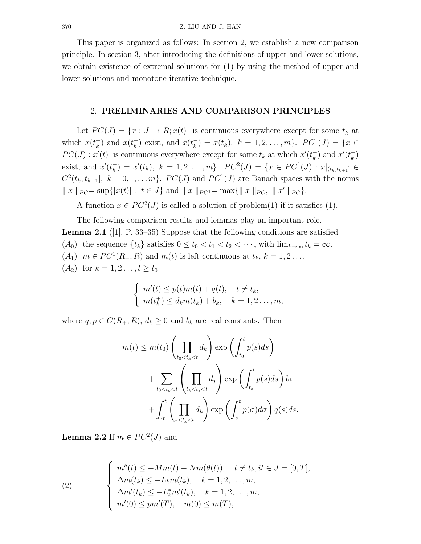This paper is organized as follows: In section 2, we establish a new comparison principle. In section 3, after introducing the definitions of upper and lower solutions, we obtain existence of extremal solutions for (1) by using the method of upper and lower solutions and monotone iterative technique.

# 2. PRELIMINARIES AND COMPARISON PRINCIPLES

Let  $PC(J) = \{x : J \to R; x(t) \text{ is continuous everywhere except for some } t_k \text{ at } t_k \leq t_k \}$ which  $x(t_k^+)$  $\binom{+}{k}$  and  $x(t_k^-)$  $\binom{r}{k}$  exist, and  $x(t_k)$  $(\overline{k}) = x(t_k), \ k = 1, 2, \ldots, m\}. \ \ PC^1(J) = \{x \in$  $PC(J)$ :  $x'(t)$  is continuous everywhere except for some  $t_k$  at which  $x'(t_k^+)$  $\binom{+}{k}$  and  $x'(t_k^-)$  $\binom{-}{k}$ exist, and  $x'(t_k^-)$  $(k) = x'(t_k), \ k = 1, 2, \ldots, m\}. \ \ PC^2(J) = \{x \in PC^1(J) : x|_{(t_k, t_{k+1}]} \in$  $C^2(t_k, t_{k+1}], k = 0, 1, \ldots m\}$ .  $PC(J)$  and  $PC^1(J)$  are Banach spaces with the norms  $\|x\|_{PC} = \sup\{|x(t)| : t \in J\}$  and  $\|x\|_{PC} = \max\{\|x\|_{PC}, \|x'\|_{PC}\}.$ 

A function  $x \in PC^2(J)$  is called a solution of problem(1) if it satisfies (1).

The following comparison results and lemmas play an important role. **Lemma 2.1** ([1], P. 33–35) Suppose that the following conditions are satisfied (A<sub>0</sub>) the sequence  $\{t_k\}$  satisfies  $0 \le t_0 < t_1 < t_2 < \cdots$ , with  $\lim_{k\to\infty} t_k = \infty$ .  $(A_1)$   $m \in PC^1(R_+, R)$  and  $m(t)$  is left continuous at  $t_k$ ,  $k = 1, 2 \ldots$ .  $(A_2)$  for  $k = 1, 2, ..., t \geq t_0$ 

$$
\begin{cases}\nm'(t) \leq p(t)m(t) + q(t), \quad t \neq t_k, \\
m(t_k^+) \leq d_k m(t_k) + b_k, \quad k = 1, 2 \dots, m,\n\end{cases}
$$

where  $q, p \in C(R_+, R), d_k \geq 0$  and  $b_k$  are real constants. Then

$$
m(t) \le m(t_0) \left(\prod_{t_0 < t_k < t} d_k\right) \exp\left(\int_{t_0}^t p(s) ds\right) + \sum_{t_0 < t_k < t} \left(\prod_{t_k < t_j < t} d_j\right) \exp\left(\int_{t_k}^t p(s) ds\right) b_k + \int_{t_0}^t \left(\prod_{s < t_k < t} d_k\right) \exp\left(\int_s^t p(\sigma) d\sigma\right) q(s) ds.
$$

**Lemma 2.2** If  $m \in PC^2(J)$  and

(2) 
$$
\begin{cases} m''(t) \leq -Mm(t) - Nm(\theta(t)), \quad t \neq t_k, it \in J = [0, T], \\ \Delta m(t_k) \leq -L_k m(t_k), \quad k = 1, 2, ..., m, \\ \Delta m'(t_k) \leq -L_k^* m'(t_k), \quad k = 1, 2, ..., m, \\ m'(0) \leq pm'(T), \quad m(0) \leq m(T), \end{cases}
$$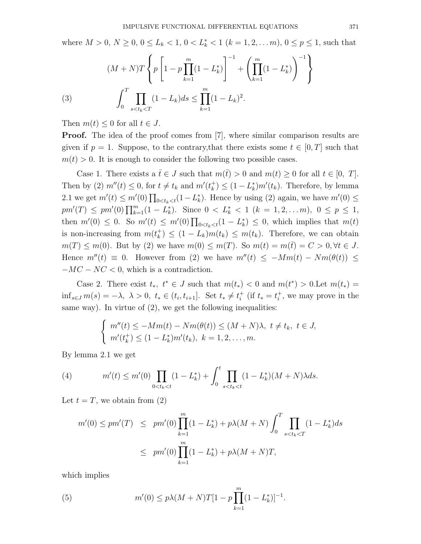where  $M > 0$ ,  $N \ge 0$ ,  $0 \le L_k < 1$ ,  $0 < L_k^* < 1$   $(k = 1, 2, ..., m)$ ,  $0 \le p \le 1$ , such that

(3) 
$$
(M+N)T\left\{p\left[1-p\prod_{k=1}^{m}(1-L_k^*)\right]^{-1}+\left(\prod_{k=1}^{m}(1-L_k^*)\right)^{-1}\right\}
$$

$$
\int_0^T\prod_{s
$$

Then  $m(t) \leq 0$  for all  $t \in J$ .

**Proof.** The idea of the proof comes from [7], where similar comparison results are given if  $p = 1$ . Suppose, to the contrary, that there exists some  $t \in [0, T]$  such that  $m(t) > 0$ . It is enough to consider the following two possible cases.

Case 1. There exists a  $\bar{t} \in J$  such that  $m(\bar{t}) > 0$  and  $m(t) \geq 0$  for all  $t \in [0, T]$ . Then by (2)  $m''(t) \leq 0$ , for  $t \neq t_k$  and  $m'(t_k^+)$  $\binom{+}{k} \leq (1 - L_k^*)$  $\binom{k}{k}$  Therefore, by lemma 2.1 we get  $m'(t) \leq m'(0) \prod_{0 \lt t_k < t} (1 - L_k^*)$  $\chi_k^*$ ). Hence by using (2) again, we have  $m'(0) \leq$  $pm'(T) \leq pm'(0) \prod_{k=1}^{m} (1 - L_k^*)$ \*, Since  $0 < L^*$  < 1 (k = 1, 2, ... m),  $0 \le p \le 1$ , then  $m'(0) \leq 0$ . So  $m'(t) \leq m'(0) \prod_{0 \leq t_k < t} (1 - L_k^*)$  $\binom{*}{k} \leq 0$ , which implies that  $m(t)$ is non-increasing from  $m(t_k^+)$  $\binom{+}{k} \leq (1 - L_k)m(t_k) \leq m(t_k)$ . Therefore, we can obtain  $m(T) \leq m(0)$ . But by (2) we have  $m(0) \leq m(T)$ . So  $m(t) = m(\bar{t}) = C > 0, \forall t \in J$ . Hence  $m''(t) \equiv 0$ . However from (2) we have  $m''(t) \leq -Mm(t) - Nm(\theta(t)) \leq$  $-MC - NC < 0$ , which is a contradiction.

Case 2. There exist  $t_*, t^* \in J$  such that  $m(t_*) < 0$  and  $m(t^*) > 0$ . Let  $m(t_*) =$  $\inf_{s\in J} m(s) = -\lambda, \ \lambda > 0, \ t_* \in (t_i, t_{i+1}].$  Set  $t_* \neq t_i^+$  (if  $t_* = t_i^+$ , we may prove in the same way). In virtue of  $(2)$ , we get the following inequalities:

$$
\begin{cases}\nm''(t) \leq -Mm(t) - Nm(\theta(t)) \leq (M+N)\lambda, \ t \neq t_k, \ t \in J, \\
m'(t_k^+) \leq (1-L_k^*)m'(t_k), \ k = 1, 2, \dots, m.\n\end{cases}
$$

By lemma 2.1 we get

(4) 
$$
m'(t) \le m'(0) \prod_{0 < t_k < t} (1 - L_k^*) + \int_0^t \prod_{s < t_k < t} (1 - L_k^*)(M + N) \lambda ds.
$$

Let  $t = T$ , we obtain from (2)

$$
m'(0) \le pm'(T) \le pm'(0) \prod_{k=1}^{m} (1 - L_k^*) + p\lambda(M + N) \int_0^T \prod_{s < t_k < T} (1 - L_k^*) ds
$$
  

$$
\le pm'(0) \prod_{k=1}^{m} (1 - L_k^*) + p\lambda(M + N)T,
$$

which implies

(5) 
$$
m'(0) \le p\lambda (M+N)T[1-p\prod_{k=1}^{m}(1-L_k^*)]^{-1}.
$$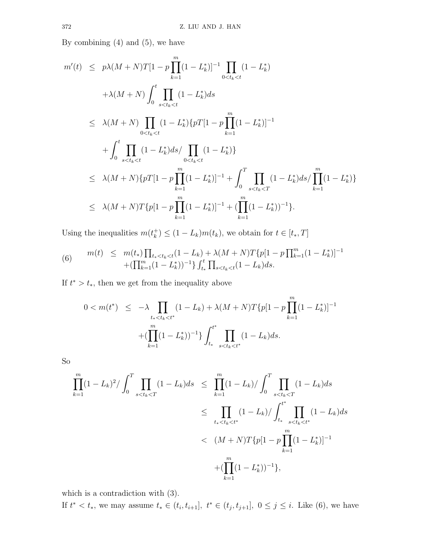By combining  $(4)$  and  $(5)$ , we have

$$
m'(t) \le p\lambda(M+N)T[1-p\prod_{k=1}^{m}(1-L_k^*)]^{-1}\prod_{0  
\n
$$
+\lambda(M+N)\int_0^t\prod_{s  
\n
$$
\le \lambda(M+N)\prod_{0  
\n
$$
+\int_0^t\prod_{s  
\n
$$
\le \lambda(M+N)\{pT[1-p\prod_{k=1}^{m}(1-L_k^*)]^{-1}+\int_0^T\prod_{s  
\n
$$
\le \lambda(M+N)T\{p[1-p\prod_{k=1}^{m}(1-L_k^*)]^{-1}+(\prod_{k=1}^{m}(1-L_k^*))^{-1}\}.
$$
$$
$$
$$
$$
$$

Using the inequalities  $m(t_k^+)$  $(k_k^+) \leq (1 - L_k)m(t_k)$ , we obtain for  $t \in [t_*, T]$ 

(6) 
$$
m(t) \leq m(t_*) \prod_{t_* < t_k < t} (1 - L_k) + \lambda (M + N) T \{p[1 - p] \prod_{k=1}^m (1 - L_k^*)]^{-1} + (\prod_{k=1}^m (1 - L_k^*))^{-1} \} \int_{t_*}^t \prod_{s < t_k < t} (1 - L_k) ds.
$$

If  $t^* > t_*$ , then we get from the inequality above

$$
0 < m(t^*) \leq -\lambda \prod_{t_* < t_* < t^*} (1 - L_k) + \lambda (M + N) T \{ p[1 - p \prod_{k=1}^m (1 - L_k^*)]^{-1} + (\prod_{k=1}^m (1 - L_k^*))^{-1} \} \int_{t_*}^{t^*} \prod_{s < t_k < t^*} (1 - L_k) ds.
$$

So

$$
\prod_{k=1}^{m} (1 - L_k)^2 / \int_0^T \prod_{s < t_k < T} (1 - L_k) ds \le \prod_{k=1}^{m} (1 - L_k) / \int_0^T \prod_{s < t_k < T} (1 - L_k) ds
$$
\n
$$
\le \prod_{t_* < t_k < t^*} (1 - L_k) / \int_{t_*}^{t^*} \prod_{s < t_k < t^*} (1 - L_k) ds
$$
\n
$$
< (M + N) T \{ p [1 - p \prod_{k=1}^{m} (1 - L_k^*) ]^{-1}
$$
\n
$$
+ (\prod_{k=1}^{m} (1 - L_k^*) )^{-1} \},
$$

which is a contradiction with (3).

If  $t^* < t_*$ , we may assume  $t_* \in (t_i, t_{i+1}], t^* \in (t_j, t_{j+1}], 0 \le j \le i$ . Like (6), we have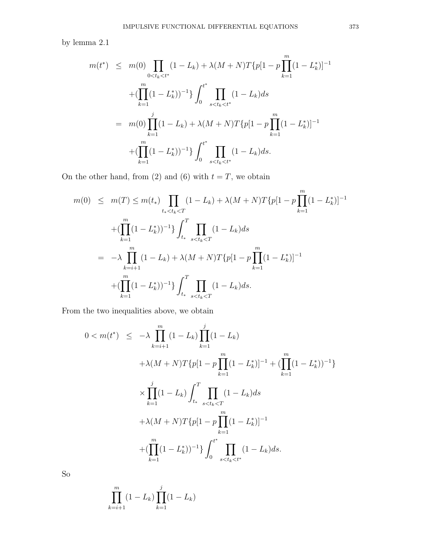by lemma 2.1

$$
m(t^*) \leq m(0) \prod_{0 < t_k < t^*} (1 - L_k) + \lambda (M + N) T \{p[1 - p \prod_{k=1}^m (1 - L_k^*)]^{-1} \}
$$
\n
$$
+ (\prod_{k=1}^m (1 - L_k^*))^{-1} \} \int_0^{t^*} \prod_{s < t_k < t^*} (1 - L_k) ds
$$
\n
$$
= m(0) \prod_{k=1}^j (1 - L_k) + \lambda (M + N) T \{p[1 - p \prod_{k=1}^m (1 - L_k^*)]^{-1} \}
$$
\n
$$
+ (\prod_{k=1}^m (1 - L_k^*))^{-1} \} \int_0^{t^*} \prod_{s < t_k < t^*} (1 - L_k) ds.
$$

On the other hand, from (2) and (6) with  $t = T$ , we obtain

$$
m(0) \leq m(T) \leq m(t_{*}) \prod_{t_{*} < t_{k} < T} (1 - L_{k}) + \lambda (M + N) T \{p[1 - p \prod_{k=1}^{m} (1 - L_{k}^{*})]^{-1} \}
$$
\n
$$
+ (\prod_{k=1}^{m} (1 - L_{k}^{*}))^{-1} \} \int_{t_{*}}^{T} \prod_{s < t_{k} < T} (1 - L_{k}) ds
$$
\n
$$
= -\lambda \prod_{k=i+1}^{m} (1 - L_{k}) + \lambda (M + N) T \{p[1 - p \prod_{k=1}^{m} (1 - L_{k}^{*})]^{-1} \}
$$
\n
$$
+ (\prod_{k=1}^{m} (1 - L_{k}^{*}))^{-1} \} \int_{t_{*}}^{T} \prod_{s < t_{k} < T} (1 - L_{k}) ds.
$$

From the two inequalities above, we obtain

$$
0 < m(t^*) \leq -\lambda \prod_{k=i+1}^m (1 - L_k) \prod_{k=1}^j (1 - L_k) \\
+ \lambda (M + N) T \{ p[1 - p \prod_{k=1}^m (1 - L_k^*)]^{-1} + (\prod_{k=1}^m (1 - L_k^*))^{-1} \} \\
\times \prod_{k=1}^j (1 - L_k) \int_{t_*}^T \prod_{s < t_k < T} (1 - L_k) ds \\
+ \lambda (M + N) T \{ p[1 - p \prod_{k=1}^m (1 - L_k^*)]^{-1} \\
+ (\prod_{k=1}^m (1 - L_k^*))^{-1} \} \int_0^{t^*} \prod_{s < t_k < t^*} (1 - L_k) ds.
$$

So

$$
\prod_{k=i+1}^{m} (1 - L_k) \prod_{k=1}^{j} (1 - L_k)
$$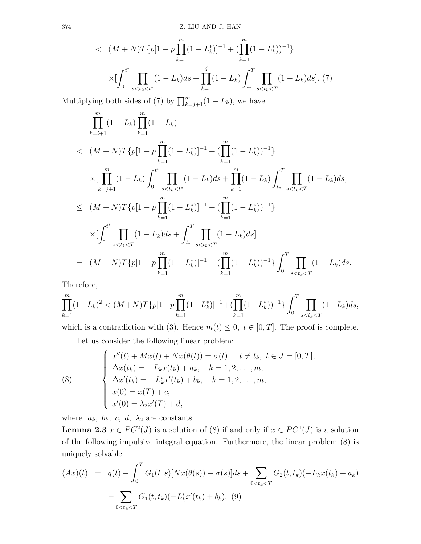$$
\langle (M+N)T\{p[1-p] \prod_{k=1}^{m} (1-L_k^*)]^{-1} + (\prod_{k=1}^{m} (1-L_k^*))^{-1} \} \times [\int_0^{t^*} \prod_{s < t_k < t^*} (1-L_k) ds + \prod_{k=1}^{j} (1-L_k) \int_{t_*}^T \prod_{s < t_k < T} (1-L_k) ds].
$$
 (7)

Multiplying both sides of (7) by  $\prod_{k=j+1}^{m} (1 - L_k)$ , we have

$$
\prod_{k=i+1}^{m} (1 - L_k) \prod_{k=1}^{m} (1 - L_k)
$$
\n
$$
< (M + N)T\{p[1 - p \prod_{k=1}^{m} (1 - L_k^*)]^{-1} + (\prod_{k=1}^{m} (1 - L_k^*)^{-1}\}
$$
\n
$$
\times [\prod_{k=j+1}^{m} (1 - L_k) \int_0^{t^*} \prod_{s < t_k < t^*} (1 - L_k) ds + \prod_{k=1}^{m} (1 - L_k) \int_{t_*}^{T} \prod_{s < t_k < T} (1 - L_k) ds]
$$
\n
$$
\le (M + N)T\{p[1 - p \prod_{k=1}^{m} (1 - L_k^*)]^{-1} + (\prod_{k=1}^{m} (1 - L_k^*)^{-1}\}
$$
\n
$$
\times [\int_0^{t^*} \prod_{s < t_k < T} (1 - L_k) ds + \int_{t_*}^{T} \prod_{s < t_k < T} (1 - L_k) ds]
$$
\n
$$
= (M + N)T\{p[1 - p \prod_{k=1}^{m} (1 - L_k^*)]^{-1} + (\prod_{k=1}^{m} (1 - L_k^*)^{-1}\} \int_0^T \prod_{s < t_k < T} (1 - L_k) ds.
$$

Therefore,

$$
\prod_{k=1}^{m} (1 - L_k)^2 < (M + N)T\{p[1 - p\prod_{k=1}^{m} (1 - L_k^*)]^{-1} + (\prod_{k=1}^{m} (1 - L_k^*))^{-1}\} \int_0^T \prod_{s < t_k < T} (1 - L_k) ds,
$$

which is a contradiction with (3). Hence  $m(t) \leq 0, t \in [0, T]$ . The proof is complete.

Let us consider the following linear problem:

(8)  

$$
\begin{cases}\nx''(t) + Mx(t) + Nx(\theta(t)) = \sigma(t), \quad t \neq t_k, \ t \in J = [0, T], \\
\Delta x(t_k) = -L_k x(t_k) + a_k, \quad k = 1, 2, ..., m, \\
\Delta x'(t_k) = -L_k^* x'(t_k) + b_k, \quad k = 1, 2, ..., m, \\
x(0) = x(T) + c, \\
x'(0) = \lambda_2 x'(T) + d,\n\end{cases}
$$

where  $a_k$ ,  $b_k$ ,  $c$ ,  $d$ ,  $\lambda_2$  are constants.

**Lemma 2.3**  $x \in PC^2(J)$  is a solution of (8) if and only if  $x \in PC^1(J)$  is a solution of the following impulsive integral equation. Furthermore, the linear problem (8) is uniquely solvable.

$$
(Ax)(t) = q(t) + \int_0^T G_1(t,s)[Nx(\theta(s)) - \sigma(s)]ds + \sum_{0 < t_k < T} G_2(t,t_k)(-L_kx(t_k) + a_k) - \sum_{0 < t_k < T} G_1(t,t_k)(-L_k^*x'(t_k) + b_k), \quad (9)
$$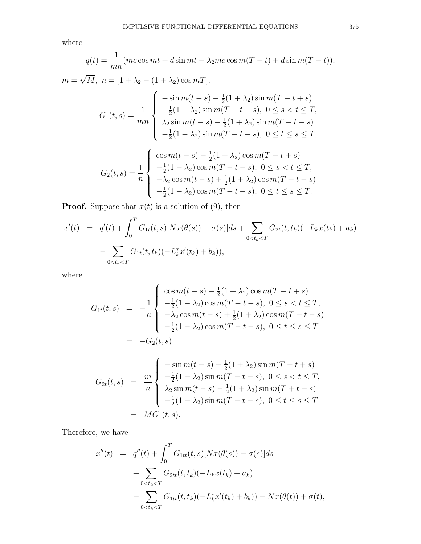where

$$
q(t) = \frac{1}{mn}(mc\cos mt + d\sin mt - \lambda_2 mc\cos m(T - t) + d\sin m(T - t)),
$$
  
\n
$$
m = \sqrt{M}, \ n = [1 + \lambda_2 - (1 + \lambda_2)\cos mT],
$$
  
\n
$$
G_1(t, s) = \frac{1}{mn} \begin{cases} -\sin m(t - s) - \frac{1}{2}(1 + \lambda_2)\sin m(T - t + s) \\ -\frac{1}{2}(1 - \lambda_2)\sin m(T - t - s), \ 0 \le s < t \le T, \\ \lambda_2 \sin m(t - s) - \frac{1}{2}(1 + \lambda_2)\sin m(T + t - s) \\ -\frac{1}{2}(1 - \lambda_2)\sin m(T - t - s), \ 0 \le t \le s \le T, \\ -\frac{1}{2}(1 - \lambda_2)\cos m(T - t + s) \\ -\frac{1}{2}(1 - \lambda_2)\cos m(T - t - s), \ 0 \le s < t \le T, \\ -\lambda_2 \cos m(t - s) + \frac{1}{2}(1 + \lambda_2)\cos m(T + t - s) \\ -\frac{1}{2}(1 - \lambda_2)\cos m(T - t - s), \ 0 \le t \le s \le T. \end{cases}
$$

**Proof.** Suppose that  $x(t)$  is a solution of (9), then

$$
x'(t) = q'(t) + \int_0^T G_{1t}(t,s)[Nx(\theta(s)) - \sigma(s)]ds + \sum_{0 < t_k < T} G_{2t}(t,t_k)(-L_kx(t_k) + a_k) - \sum_{0 < t_k < T} G_{1t}(t,t_k)(-L_k^*x'(t_k) + b_k)),
$$

where

$$
G_{1t}(t,s) = -\frac{1}{n} \begin{cases} \cos m(t-s) - \frac{1}{2}(1+\lambda_2)\cos m(T-t+s) \\ -\frac{1}{2}(1-\lambda_2)\cos m(T-t-s), \ 0 \le s < t \le T, \\ -\lambda_2\cos m(t-s) + \frac{1}{2}(1+\lambda_2)\cos m(T+t-s) \\ -\frac{1}{2}(1-\lambda_2)\cos m(T-t-s), \ 0 \le t \le s \le T \end{cases}
$$
  
=  $-G_2(t,s),$  
$$
\int -\sin m(t-s) - \frac{1}{2}(1+\lambda_2)\sin m(T-t+s)
$$

$$
G_{2t}(t,s) = \frac{m}{n} \begin{cases} -\sin m(t-s) - \frac{1}{2}(1+\lambda_2)\sin m(T-t+s) \\ -\frac{1}{2}(1-\lambda_2)\sin m(T-t-s), \ 0 \le s < t \le T, \\ \lambda_2 \sin m(t-s) - \frac{1}{2}(1+\lambda_2)\sin m(T+t-s) \\ -\frac{1}{2}(1-\lambda_2)\sin m(T-t-s), \ 0 \le t \le s \le T \end{cases}
$$
  
=  $MG_1(t,s)$ .

Therefore, we have

$$
x''(t) = q''(t) + \int_0^T G_{1tt}(t,s)[Nx(\theta(s)) - \sigma(s)]ds
$$
  
+ 
$$
\sum_{0 \le t_k \le T} G_{2tt}(t,t_k)(-L_kx(t_k) + a_k)
$$
  
- 
$$
\sum_{0 \le t_k \le T} G_{1tt}(t,t_k)(-L_k^*x'(t_k) + b_k)) - Nx(\theta(t)) + \sigma(t),
$$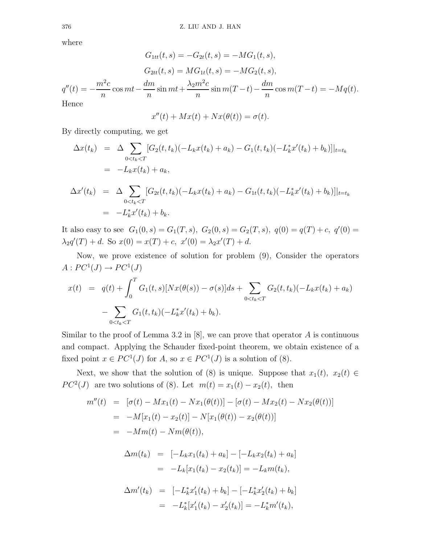where

$$
G_{1tt}(t,s) = -G_{2t}(t,s) = -MG_1(t,s),
$$
  
\n
$$
G_{2tt}(t,s) = MG_{1t}(t,s) = -MG_2(t,s),
$$
  
\n
$$
q''(t) = -\frac{m^2c}{n}\cos mt - \frac{dm}{n}\sin mt + \frac{\lambda_2m^2c}{n}\sin m(T-t) - \frac{dm}{n}\cos m(T-t) = -Mq(t).
$$
  
\nHence

$$
x''(t) + Mx(t) + Nx(\theta(t)) = \sigma(t).
$$

By directly computing, we get

$$
\Delta x(t_k) = \Delta \sum_{0 < t_k < T} [G_2(t, t_k)(-L_k x(t_k) + a_k) - G_1(t, t_k)(-L_k^* x'(t_k) + b_k)]|_{t=t_k}
$$
\n
$$
= -L_k x(t_k) + a_k,
$$
\n
$$
\Delta x'(t_k) = \Delta \sum_{0 < t_k < T} [G_{2t}(t, t_k)(-L_k x(t_k) + a_k) - G_{1t}(t, t_k)(-L_k^* x'(t_k) + b_k)]|_{t=t_k}
$$
\n
$$
= -L_k^* x'(t_k) + b_k.
$$

It also easy to see  $G_1(0,s) = G_1(T,s)$ ,  $G_2(0,s) = G_2(T,s)$ ,  $q(0) = q(T) + c$ ,  $q'(0) =$  $\lambda_2 q'(T) + d$ . So  $x(0) = x(T) + c$ ,  $x'(0) = \lambda_2 x'(T) + d$ .

Now, we prove existence of solution for problem (9), Consider the operators  $A: PC<sup>1</sup>(J) \rightarrow PC<sup>1</sup>(J)$ 

$$
x(t) = q(t) + \int_0^T G_1(t, s)[Nx(\theta(s)) - \sigma(s)]ds + \sum_{0 < t_k < T} G_2(t, t_k)(-L_k x(t_k) + a_k) - \sum_{0 < t_k < T} G_1(t, t_k)(-L_k^* x'(t_k) + b_k).
$$

Similar to the proof of Lemma 3.2 in  $[8]$ , we can prove that operator A is continuous and compact. Applying the Schauder fixed-point theorem, we obtain existence of a fixed point  $x \in PC^1(J)$  for  $A$ , so  $x \in PC^1(J)$  is a solution of (8).

Next, we show that the solution of (8) is unique. Suppose that  $x_1(t)$ ,  $x_2(t) \in$  $PC<sup>2</sup>(J)$  are two solutions of (8). Let  $m(t) = x_1(t) - x_2(t)$ , then

$$
m''(t) = [\sigma(t) - Mx_1(t) - Nx_1(\theta(t))] - [\sigma(t) - Mx_2(t) - Nx_2(\theta(t))]
$$
  
\n
$$
= -M[x_1(t) - x_2(t)] - N[x_1(\theta(t)) - x_2(\theta(t))]
$$
  
\n
$$
= -Mm(t) - Nm(\theta(t)),
$$
  
\n
$$
\Delta m(t_k) = [-L_kx_1(t_k) + a_k] - [-L_kx_2(t_k) + a_k]
$$
  
\n
$$
= -L_k[x_1(t_k) - x_2(t_k)] = -L_km(t_k),
$$
  
\n
$$
\Delta m'(t_k) = [-L_k^*x_1'(t_k) + b_k] - [-L_k^*x_2'(t_k) + b_k]
$$
  
\n
$$
= -L_k^*[x_1'(t_k) - x_2'(t_k)] = -L_k^*m'(t_k),
$$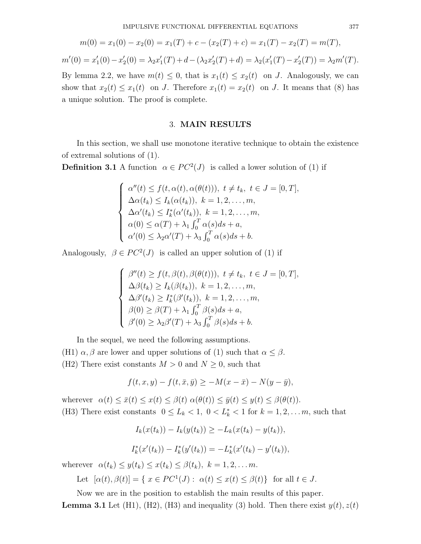$$
m(0) = x_1(0) - x_2(0) = x_1(T) + c - (x_2(T) + c) = x_1(T) - x_2(T) = m(T),
$$
  

$$
m'(0) = x'_1(0) - x'_2(0) = \lambda_2 x'_1(T) + d - (\lambda_2 x'_2(T) + d) = \lambda_2 (x'_1(T) - x'_2(T)) = \lambda_2 m'(T).
$$

By lemma 2.2, we have  $m(t) \leq 0$ , that is  $x_1(t) \leq x_2(t)$  on J. Analogously, we can show that  $x_2(t) \le x_1(t)$  on J. Therefore  $x_1(t) = x_2(t)$  on J. It means that (8) has a unique solution. The proof is complete.

#### 3. MAIN RESULTS

In this section, we shall use monotone iterative technique to obtain the existence of extremal solutions of (1).

**Definition 3.1** A function  $\alpha \in PC^2(J)$  is called a lower solution of (1) if

$$
\begin{cases}\n\alpha''(t) \leq f(t, \alpha(t), \alpha(\theta(t))), \ t \neq t_k, \ t \in J = [0, T], \\
\Delta \alpha(t_k) \leq I_k(\alpha(t_k)), \ k = 1, 2, \dots, m, \\
\Delta \alpha'(t_k) \leq I_k^*(\alpha'(t_k)), \ k = 1, 2, \dots, m, \\
\alpha(0) \leq \alpha(T) + \lambda_1 \int_0^T \alpha(s) ds + a, \\
\alpha'(0) \leq \lambda_2 \alpha'(T) + \lambda_3 \int_0^T \alpha(s) ds + b.\n\end{cases}
$$

Analogously,  $\beta \in PC^2(J)$  is called an upper solution of (1) if

$$
\begin{cases}\n\beta''(t) \ge f(t, \beta(t), \beta(\theta(t))), \ t \ne t_k, \ t \in J = [0, T], \\
\Delta \beta(t_k) \ge I_k(\beta(t_k)), \ k = 1, 2, \dots, m, \\
\Delta \beta'(t_k) \ge I_k^*(\beta'(t_k)), \ k = 1, 2, \dots, m, \\
\beta(0) \ge \beta(T) + \lambda_1 \int_0^T \beta(s) ds + a, \\
\beta'(0) \ge \lambda_2 \beta'(T) + \lambda_3 \int_0^T \beta(s) ds + b.\n\end{cases}
$$

In the sequel, we need the following assumptions.

(H1)  $\alpha$ ,  $\beta$  are lower and upper solutions of (1) such that  $\alpha \leq \beta$ . (H2) There exist constants  $M > 0$  and  $N \geq 0$ , such that

$$
f(t, x, y) - f(t, \bar{x}, \bar{y}) \ge -M(x - \bar{x}) - N(y - \bar{y}),
$$

wherever  $\alpha(t) \leq \bar{x}(t) \leq x(t) \leq \beta(t) \alpha(\theta(t)) \leq \bar{y}(t) \leq y(t) \leq \beta(\theta(t)).$ (H3) There exist constants  $0 \leq L_k < 1$ ,  $0 < L_k^* < 1$  for  $k = 1, 2, \ldots m$ , such that

$$
I_k(x(t_k)) - I_k(y(t_k)) \geq -L_k(x(t_k) - y(t_k)),
$$

$$
I_k^*(x'(t_k)) - I_k^*(y'(t_k)) = -L_k^*(x'(t_k) - y'(t_k)),
$$

wherever  $\alpha(t_k) \leq y(t_k) \leq x(t_k) \leq \beta(t_k), \ k = 1, 2, \ldots m.$ 

Let 
$$
[\alpha(t), \beta(t)] = \{ x \in PC^1(J) : \alpha(t) \le x(t) \le \beta(t) \}
$$
 for all  $t \in J$ .

Now we are in the position to establish the main results of this paper.

**Lemma 3.1** Let (H1), (H2), (H3) and inequality (3) hold. Then there exist  $y(t)$ ,  $z(t)$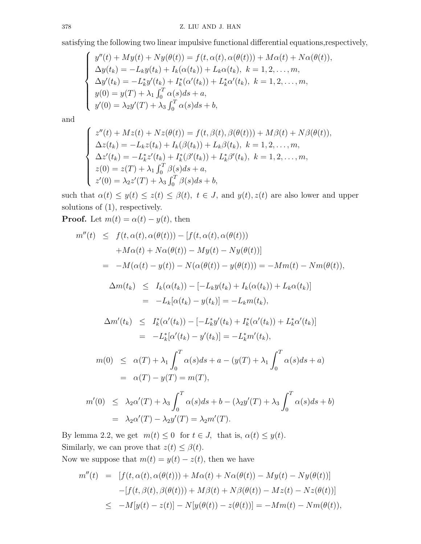satisfying the following two linear impulsive functional differential equations,respectively,

$$
\begin{cases}\ny''(t) + My(t) + Ny(\theta(t)) = f(t, \alpha(t), \alpha(\theta(t))) + M\alpha(t) + N\alpha(\theta(t)),\n\Delta y(t_k) = -L_k y(t_k) + I_k(\alpha(t_k)) + L_k \alpha(t_k), \ k = 1, 2, ..., m,\n\Delta y'(t_k) = -L_k^* y'(t_k) + I_k^* (\alpha'(t_k)) + L_k^* \alpha'(t_k), \ k = 1, 2, ..., m,\ny(0) = y(T) + \lambda_1 \int_0^T \alpha(s) ds + a,\ny'(0) = \lambda_2 y'(T) + \lambda_3 \int_0^T \alpha(s) ds + b,\n\end{cases}
$$

and

$$
\begin{cases}\nz''(t) + Mz(t) + Nz(\theta(t)) = f(t, \beta(t), \beta(\theta(t))) + M\beta(t) + N\beta(\theta(t)), \\
\Delta z(t_k) = -L_k z(t_k) + I_k(\beta(t_k)) + L_k\beta(t_k), \ k = 1, 2, ..., m, \\
\Delta z'(t_k) = -L_k^* z'(t_k) + I_k^*(\beta'(t_k)) + L_k^* \beta'(t_k), \ k = 1, 2, ..., m, \\
z(0) = z(T) + \lambda_1 \int_0^T \beta(s) ds + a, \\
z'(0) = \lambda_2 z'(T) + \lambda_3 \int_0^T \beta(s) ds + b,\n\end{cases}
$$

such that  $\alpha(t) \leq y(t) \leq z(t) \leq \beta(t)$ ,  $t \in J$ , and  $y(t)$ ,  $z(t)$  are also lower and upper solutions of (1), respectively.

**Proof.** Let  $m(t) = \alpha(t) - y(t)$ , then

$$
m''(t) \leq f(t, \alpha(t), \alpha(\theta(t))) - [f(t, \alpha(t), \alpha(\theta(t)))
$$
  
\n
$$
+M\alpha(t) + N\alpha(\theta(t)) - My(t) - Ny(\theta(t))]
$$
  
\n
$$
= -M(\alpha(t) - y(t)) - N(\alpha(\theta(t)) - y(\theta(t))) = -Mm(t) - Nm(\theta(t)),
$$
  
\n
$$
\Delta m(t_k) \leq I_k(\alpha(t_k)) - [-L_ky(t_k) + I_k(\alpha(t_k)) + L_k\alpha(t_k)]
$$
  
\n
$$
= -L_k[\alpha(t_k) - y(t_k)] = -L_km(t_k),
$$
  
\n
$$
\Delta m'(t_k) \leq I_k^*(\alpha'(t_k)) - [-L_k^*y'(t_k) + I_k^*(\alpha'(t_k)) + L_k^*\alpha'(t_k)]
$$
  
\n
$$
= -L_k^*[\alpha'(t_k) - y'(t_k)] = -L_k^*m'(t_k),
$$
  
\n
$$
m(0) \leq \alpha(T) + \lambda_1 \int_0^T \alpha(s)ds + a - (y(T) + \lambda_1 \int_0^T \alpha(s)ds + a)
$$
  
\n
$$
= \alpha(T) - y(T) = m(T),
$$
  
\n
$$
m'(0) \leq \lambda_2 \alpha'(T) + \lambda_3 \int_0^T \alpha(s)ds + b - (\lambda_2 y'(T) + \lambda_3 \int_0^T \alpha(s)ds + b)
$$
  
\n
$$
= \lambda_2 \alpha'(T) - \lambda_2 y'(T) = \lambda_2 m'(T).
$$

By lemma 2.2, we get  $m(t) \leq 0$  for  $t \in J$ , that is,  $\alpha(t) \leq y(t)$ . Similarly, we can prove that  $z(t) \leq \beta(t)$ .

Now we suppose that  $m(t) = y(t) - z(t)$ , then we have

$$
m''(t) = [f(t, \alpha(t), \alpha(\theta(t))) + M\alpha(t) + N\alpha(\theta(t)) - My(t) - Ny(\theta(t))]
$$
  

$$
-[f(t, \beta(t), \beta(\theta(t))) + M\beta(t) + N\beta(\theta(t)) - Mz(t) - Nz(\theta(t))]
$$
  

$$
\leq -M[y(t) - z(t)] - N[y(\theta(t)) - z(\theta(t))] = -Mm(t) - Nm(\theta(t)),
$$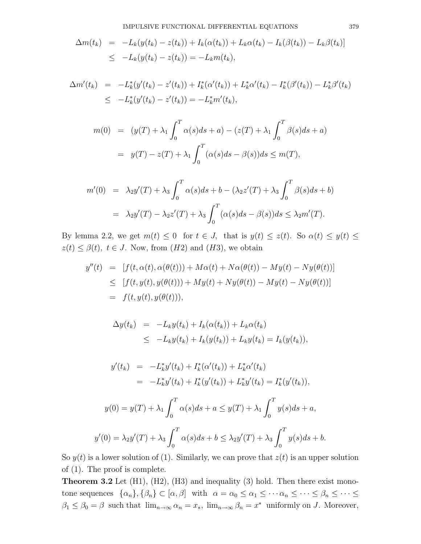$$
\Delta m(t_k) = -L_k(y(t_k) - z(t_k)) + I_k(\alpha(t_k)) + L_k\alpha(t_k) - I_k(\beta(t_k)) - L_k\beta(t_k)]
$$
  

$$
\leq -L_k(y(t_k) - z(t_k)) = -L_km(t_k),
$$

$$
\Delta m'(t_k) = -L_k^*(y'(t_k) - z'(t_k)) + I_k^*(\alpha'(t_k)) + L_k^*\alpha'(t_k) - I_k^*(\beta'(t_k)) - L_k^*\beta'(t_k)
$$
  

$$
\leq -L_k^*(y'(t_k) - z'(t_k)) = -L_k^*m'(t_k),
$$

$$
m(0) = (y(T) + \lambda_1 \int_0^T \alpha(s)ds + a) - (z(T) + \lambda_1 \int_0^T \beta(s)ds + a)
$$
  
=  $y(T) - z(T) + \lambda_1 \int_0^T (\alpha(s)ds - \beta(s))ds \le m(T),$ 

$$
m'(0) = \lambda_2 y'(T) + \lambda_3 \int_0^T \alpha(s) ds + b - (\lambda_2 z'(T) + \lambda_3 \int_0^T \beta(s) ds + b)
$$
  
=  $\lambda_2 y'(T) - \lambda_2 z'(T) + \lambda_3 \int_0^T (\alpha(s) ds - \beta(s)) ds \leq \lambda_2 m'(T).$ 

By lemma 2.2, we get  $m(t) \leq 0$  for  $t \in J$ , that is  $y(t) \leq z(t)$ . So  $\alpha(t) \leq y(t) \leq$  $z(t) \leq \beta(t)$ ,  $t \in J$ . Now, from  $(H2)$  and  $(H3)$ , we obtain

$$
y''(t) = [f(t, \alpha(t), \alpha(\theta(t))) + M\alpha(t) + N\alpha(\theta(t)) - My(t) - Ny(\theta(t))]
$$
  
\n
$$
\leq [f(t, y(t), y(\theta(t))) + My(t) + Ny(\theta(t)) - My(t) - Ny(\theta(t))]
$$
  
\n
$$
= f(t, y(t), y(\theta(t))),
$$

$$
\Delta y(t_k) = -L_k y(t_k) + I_k(\alpha(t_k)) + L_k \alpha(t_k)
$$
  
\n
$$
\leq -L_k y(t_k) + I_k(y(t_k)) + L_k y(t_k) = I_k(y(t_k)),
$$

$$
y'(t_k) = -L_k^* y'(t_k) + I_k^*(\alpha'(t_k)) + L_k^* \alpha'(t_k)
$$
  
= 
$$
-L_k^* y'(t_k) + I_k^*(y'(t_k)) + L_k^* y'(t_k) = I_k^*(y'(t_k)),
$$

$$
y(0) = y(T) + \lambda_1 \int_0^T \alpha(s)ds + a \le y(T) + \lambda_1 \int_0^T y(s)ds + a,
$$
  

$$
y'(0) = \lambda_2 y'(T) + \lambda_3 \int_0^T \alpha(s)ds + b \le \lambda_2 y'(T) + \lambda_3 \int_0^T y(s)ds + b.
$$

So  $y(t)$  is a lower solution of (1). Similarly, we can prove that  $z(t)$  is an upper solution of (1). The proof is complete.

**Theorem 3.2** Let  $(H1)$ ,  $(H2)$ ,  $(H3)$  and inequality  $(3)$  hold. Then there exist monotone sequences  $\{\alpha_n\}, \{\beta_n\} \subset [\alpha, \beta]$  with  $\alpha = \alpha_0 \leq \alpha_1 \leq \cdots \alpha_n \leq \cdots \leq \beta_n \leq \cdots \leq \cdots$  $\beta_1 \leq \beta_0 = \beta$  such that  $\lim_{n \to \infty} \alpha_n = x_*$ ,  $\lim_{n \to \infty} \beta_n = x^*$  uniformly on J. Moreover,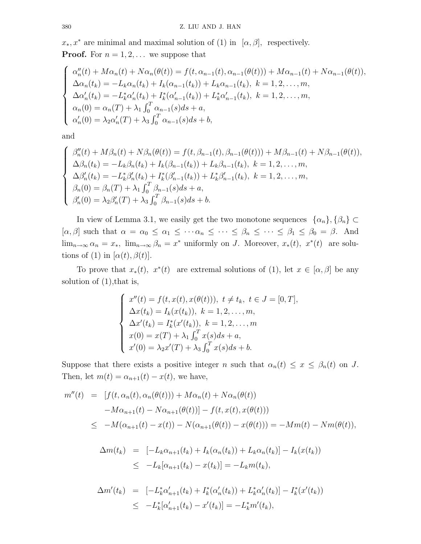$x_*, x^*$  are minimal and maximal solution of (1) in [ $\alpha, \beta$ ], respectively. **Proof.** For  $n = 1, 2, \ldots$  we suppose that

$$
\begin{cases}\n\alpha''_n(t) + M\alpha_n(t) + N\alpha_n(\theta(t)) = f(t, \alpha_{n-1}(t), \alpha_{n-1}(\theta(t))) + M\alpha_{n-1}(t) + N\alpha_{n-1}(\theta(t)), \\
\Delta \alpha_n(t_k) = -L_k \alpha_n(t_k) + I_k(\alpha_{n-1}(t_k)) + L_k \alpha_{n-1}(t_k), \ k = 1, 2, ..., m, \\
\Delta \alpha'_n(t_k) = -L_k^* \alpha'_n(t_k) + I_k^* (\alpha'_{n-1}(t_k)) + L_k^* \alpha'_{n-1}(t_k), \ k = 1, 2, ..., m, \\
\alpha_n(0) = \alpha_n(T) + \lambda_1 \int_0^T \alpha_{n-1}(s) ds + a, \\
\alpha'_n(0) = \lambda_2 \alpha'_n(T) + \lambda_3 \int_0^T \alpha_{n-1}(s) ds + b,\n\end{cases}
$$

and

$$
\begin{cases}\n\beta''_n(t) + M\beta_n(t) + N\beta_n(\theta(t)) = f(t, \beta_{n-1}(t), \beta_{n-1}(\theta(t))) + M\beta_{n-1}(t) + N\beta_{n-1}(\theta(t)), \\
\Delta\beta_n(t_k) = -L_k\beta_n(t_k) + I_k(\beta_{n-1}(t_k)) + L_k\beta_{n-1}(t_k), \ k = 1, 2, ..., m, \\
\Delta\beta'_n(t_k) = -L_k^*\beta'_n(t_k) + I_k^*(\beta'_{n-1}(t_k)) + L_k^*\beta'_{n-1}(t_k), \ k = 1, 2, ..., m, \\
\beta_n(0) = \beta_n(T) + \lambda_1 \int_0^T \beta_{n-1}(s)ds + a, \\
\beta'_n(0) = \lambda_2 \beta'_n(T) + \lambda_3 \int_0^T \beta_{n-1}(s)ds + b.\n\end{cases}
$$

In view of Lemma 3.1, we easily get the two monotone sequences  $\{\alpha_n\}, \{\beta_n\} \subset$  $[\alpha, \beta]$  such that  $\alpha = \alpha_0 \leq \alpha_1 \leq \cdots \alpha_n \leq \cdots \leq \beta_n \leq \cdots \leq \beta_1 \leq \beta_0 = \beta$ . And  $\lim_{n\to\infty} \alpha_n = x_*$ ,  $\lim_{n\to\infty} \beta_n = x^*$  uniformly on J. Moreover,  $x_*(t)$ ,  $x^*(t)$  are solutions of (1) in  $[\alpha(t), \beta(t)].$ 

To prove that  $x_*(t)$ ,  $x^*(t)$  are extremal solutions of (1), let  $x \in [\alpha, \beta]$  be any solution of  $(1)$ , that is,

$$
\begin{cases}\nx''(t) = f(t, x(t), x(\theta(t))), \ t \neq t_k, \ t \in J = [0, T], \\
\Delta x(t_k) = I_k(x(t_k)), \ k = 1, 2, ..., m, \\
\Delta x'(t_k) = I_k^*(x'(t_k)), \ k = 1, 2, ..., m \\
x(0) = x(T) + \lambda_1 \int_0^T x(s) ds + a, \\
x'(0) = \lambda_2 x'(T) + \lambda_3 \int_0^T x(s) ds + b.\n\end{cases}
$$

Suppose that there exists a positive integer n such that  $\alpha_n(t) \leq x \leq \beta_n(t)$  on J. Then, let  $m(t) = \alpha_{n+1}(t) - x(t)$ , we have,

$$
m''(t) = [f(t, \alpha_n(t), \alpha_n(\theta(t))) + M\alpha_n(t) + N\alpha_n(\theta(t))
$$
  

$$
-M\alpha_{n+1}(t) - N\alpha_{n+1}(\theta(t))] - f(t, x(t), x(\theta(t)))
$$
  

$$
\leq -M(\alpha_{n+1}(t) - x(t)) - N(\alpha_{n+1}(\theta(t)) - x(\theta(t))) = -Mm(t) - Nm(\theta(t)),
$$

$$
\Delta m(t_k) = [-L_k \alpha_{n+1}(t_k) + I_k(\alpha_n(t_k)) + L_k \alpha_n(t_k)] - I_k(x(t_k))
$$
  
\n
$$
\leq -L_k[\alpha_{n+1}(t_k) - x(t_k)] = -L_k m(t_k),
$$

$$
\Delta m'(t_k) = [-L_k^* \alpha'_{n+1}(t_k) + I_k^* (\alpha'_n(t_k)) + L_k^* \alpha'_n(t_k)] - I_k^* (x'(t_k))
$$
  

$$
\leq -L_k^* [\alpha'_{n+1}(t_k) - x'(t_k)] = -L_k^* m'(t_k),
$$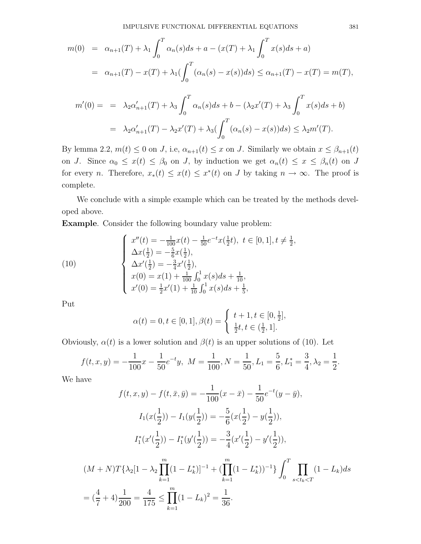$$
m(0) = \alpha_{n+1}(T) + \lambda_1 \int_0^T \alpha_n(s)ds + a - (x(T) + \lambda_1 \int_0^T x(s)ds + a)
$$
  
=  $\alpha_{n+1}(T) - x(T) + \lambda_1 \left( \int_0^T (\alpha_n(s) - x(s))ds \right) \le \alpha_{n+1}(T) - x(T) = m(T),$ 

$$
m'(0) = \n= \n\lambda_2 \alpha'_{n+1}(T) + \n\lambda_3 \int_0^T \alpha_n(s) ds + b - (\lambda_2 x'(T) + \lambda_3 \int_0^T x(s) ds + b)\n= \n\lambda_2 \alpha'_{n+1}(T) - \n\lambda_2 x'(T) + \n\lambda_3 \int_0^T (\alpha_n(s) - x(s)) ds) \leq \n\lambda_2 m'(T).
$$

By lemma 2.2,  $m(t) \leq 0$  on J, i.e,  $\alpha_{n+1}(t) \leq x$  on J. Similarly we obtain  $x \leq \beta_{n+1}(t)$ on J. Since  $\alpha_0 \leq x(t) \leq \beta_0$  on J, by induction we get  $\alpha_n(t) \leq x \leq \beta_n(t)$  on J for every *n*. Therefore,  $x_*(t) \leq x^*(t) \leq x^*(t)$  on *J* by taking  $n \to \infty$ . The proof is complete.

We conclude with a simple example which can be treated by the methods developed above.

Example. Consider the following boundary value problem:

(10)  

$$
\begin{cases}\nx''(t) = -\frac{1}{100}x(t) - \frac{1}{50}e^{-t}x(\frac{1}{2}t), \ t \in [0, 1], t \neq \frac{1}{2}, \\
\Delta x(\frac{1}{2}) = -\frac{5}{6}x(\frac{1}{2}), \\
\Delta x'(\frac{1}{2}) = -\frac{3}{4}x'(\frac{1}{2}), \\
x(0) = x(1) + \frac{1}{100}\int_0^1 x(s)ds + \frac{1}{10}, \\
x'(0) = \frac{1}{2}x'(1) + \frac{1}{10}\int_0^1 x(s)ds + \frac{1}{5},\n\end{cases}
$$

Put

$$
\alpha(t) = 0, t \in [0, 1], \beta(t) = \begin{cases} t + 1, t \in [0, \frac{1}{2}], \\ \frac{1}{2}t, t \in (\frac{1}{2}, 1]. \end{cases}
$$

Obviously,  $\alpha(t)$  is a lower solution and  $\beta(t)$  is an upper solutions of (10). Let

$$
f(t, x, y) = -\frac{1}{100}x - \frac{1}{50}e^{-t}y, \ M = \frac{1}{100}, N = \frac{1}{50}, L_1 = \frac{5}{6}, L_1^* = \frac{3}{4}, \lambda_2 = \frac{1}{2}.
$$

We have

$$
f(t, x, y) - f(t, \bar{x}, \bar{y}) = -\frac{1}{100}(x - \bar{x}) - \frac{1}{50}e^{-t}(y - \bar{y}),
$$
  
\n
$$
I_1(x(\frac{1}{2})) - I_1(y(\frac{1}{2})) = -\frac{5}{6}(x(\frac{1}{2}) - y(\frac{1}{2})),
$$
  
\n
$$
I_1^*(x'(\frac{1}{2})) - I_1^*(y'(\frac{1}{2})) = -\frac{3}{4}(x'(\frac{1}{2}) - y'(\frac{1}{2})),
$$
  
\n
$$
(M + N)T\{\lambda_2[1 - \lambda_2 \prod_{k=1}^m (1 - L_k^*)]^{-1} + (\prod_{k=1}^m (1 - L_k^*))^{-1}\}\int_0^T \prod_{s < t_k < T} (1 - L_k)ds
$$
  
\n
$$
= (\frac{4}{7} + 4)\frac{1}{200} = \frac{4}{175} \le \prod_{k=1}^m (1 - L_k)^2 = \frac{1}{36}.
$$